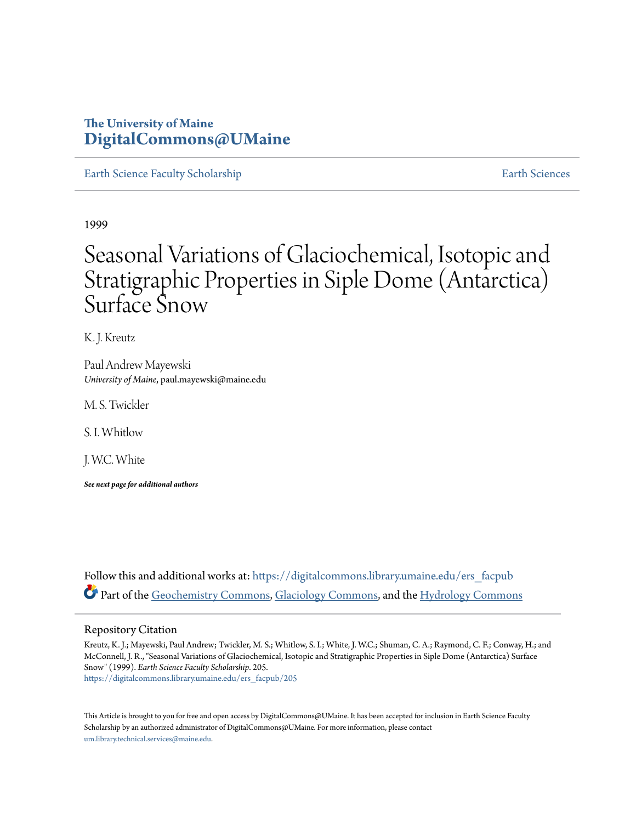### **The University of Maine [DigitalCommons@UMaine](https://digitalcommons.library.umaine.edu?utm_source=digitalcommons.library.umaine.edu%2Fers_facpub%2F205&utm_medium=PDF&utm_campaign=PDFCoverPages)**

[Earth Science Faculty Scholarship](https://digitalcommons.library.umaine.edu/ers_facpub?utm_source=digitalcommons.library.umaine.edu%2Fers_facpub%2F205&utm_medium=PDF&utm_campaign=PDFCoverPages) **[Earth Sciences](https://digitalcommons.library.umaine.edu/ers?utm_source=digitalcommons.library.umaine.edu%2Fers_facpub%2F205&utm_medium=PDF&utm_campaign=PDFCoverPages)** 

1999

# Seasonal Variations of Glaciochemical, Isotopic and Stratigraphic Properties in Siple Dome (Antarctica) Surface Snow

K. J. Kreutz

Paul Andrew Mayewski *University of Maine*, paul.mayewski@maine.edu

M. S. Twickler

S. I. Whitlow

J. W.C. White

*See next page for additional authors*

Follow this and additional works at: [https://digitalcommons.library.umaine.edu/ers\\_facpub](https://digitalcommons.library.umaine.edu/ers_facpub?utm_source=digitalcommons.library.umaine.edu%2Fers_facpub%2F205&utm_medium=PDF&utm_campaign=PDFCoverPages) Part of the [Geochemistry Commons](http://network.bepress.com/hgg/discipline/157?utm_source=digitalcommons.library.umaine.edu%2Fers_facpub%2F205&utm_medium=PDF&utm_campaign=PDFCoverPages), [Glaciology Commons,](http://network.bepress.com/hgg/discipline/159?utm_source=digitalcommons.library.umaine.edu%2Fers_facpub%2F205&utm_medium=PDF&utm_campaign=PDFCoverPages) and the [Hydrology Commons](http://network.bepress.com/hgg/discipline/1054?utm_source=digitalcommons.library.umaine.edu%2Fers_facpub%2F205&utm_medium=PDF&utm_campaign=PDFCoverPages)

#### Repository Citation

Kreutz, K. J.; Mayewski, Paul Andrew; Twickler, M. S.; Whitlow, S. I.; White, J. W.C.; Shuman, C. A.; Raymond, C. F.; Conway, H.; and McConnell, J. R., "Seasonal Variations of Glaciochemical, Isotopic and Stratigraphic Properties in Siple Dome (Antarctica) Surface Snow" (1999). *Earth Science Faculty Scholarship*. 205. [https://digitalcommons.library.umaine.edu/ers\\_facpub/205](https://digitalcommons.library.umaine.edu/ers_facpub/205?utm_source=digitalcommons.library.umaine.edu%2Fers_facpub%2F205&utm_medium=PDF&utm_campaign=PDFCoverPages)

This Article is brought to you for free and open access by DigitalCommons@UMaine. It has been accepted for inclusion in Earth Science Faculty Scholarship by an authorized administrator of DigitalCommons@UMaine. For more information, please contact [um.library.technical.services@maine.edu](mailto:um.library.technical.services@maine.edu).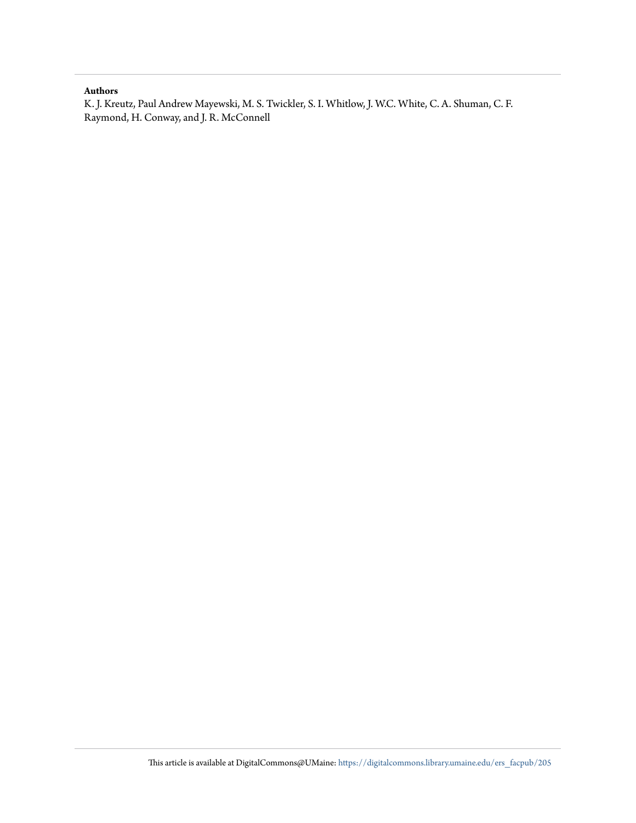#### **Authors**

K. J. Kreutz, Paul Andrew Mayewski, M. S. Twickler, S. I. Whitlow, J. W.C. White, C. A. Shuman, C. F. Raymond, H. Conway, and J. R. McConnell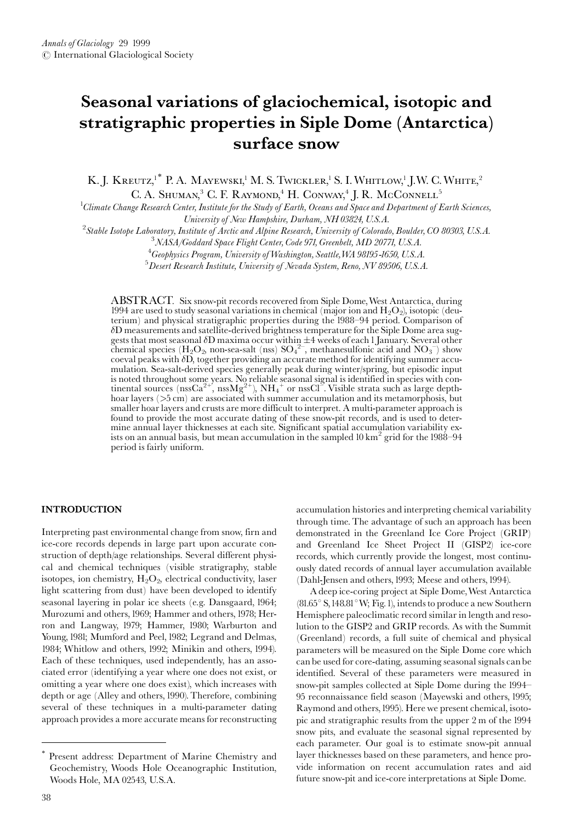## Seasonal variations of glaciochemical, isotopic and stratigraphic properties in Siple Dome (Antarctica) surface snow

K. J. KREUTZ,<sup>1\*</sup> P. A. MAYEWSKI,<sup>1</sup> M. S. TWICKLER,<sup>1</sup> S. I. WHITLOW,<sup>1</sup> J.W. C. WHITE,<sup>2</sup> C. A. SHUMAN,<sup>3</sup> C. F. RAYMOND,<sup>4</sup> H. CONWAY,<sup>4</sup> J. R. McCONNELL<sup>5</sup>

 $^1$ Climate Change Research Center, Institute for the Study of Earth, Oceans and Space and Department of Earth Sciences,

University of New Hampshire, Durham, NH 03824, U.S.A.

<sup>2</sup>Stable Isotope Laboratory, Institute of Arctic and Alpine Research, University of Colorado, Boulder, CO 80303, U.S.A.

 $^3\it NASA/Godd$ ard Space Flight Center, Code 971, Greenbelt, MD 20771, U.S.A.

<sup>4</sup>Geophysics Program, University of Washington, Seattle, WA 98195-1650, U.S.A.

 $^5$ Desert Research Institute, University of Nevada System, Reno, NV 89506, U.S.A.

ABSTRACT. Six snow-pit records recovered from Siple Dome, West Antarctica, during 1994 are used to study seasonal variations in chemical (major ion and  $H_2O_2$ ), isotopic (deuterium) and physical stratigraphic properties during the 1988–94 period. Comparison of  $\delta$ D measurements and satellite-derived brightness temperature for the Siple Dome area suggests that most seasonal  $\delta D$  maxima occur within  $\pm 4$  weeks of each 1 January. Several other<br>chemical species (H<sub>2</sub>O<sub>2</sub>, non-sea-salt (nss)  $SO_4^{2-}$ , methanesulfonic acid and  $NO_3^-$ ) show coeval peaks with  $\delta\overline{D}$ , together providing an accurate method for identifying summer accumulation. Sea-salt-derived species generally peak during winter/spring, but episodic input is noted throughout some years. No reliable seasonal signal is identified in species with con-<br>tinental sources (nssCa<sup>2+</sup>, nssMg<sup>2+</sup>), NH<sub>4</sub><sup>+</sup> or nssCl<sup>-</sup>. Visible strata such as large depth-<br>hoar layers (>5 cm) are ass smaller hoar layers and crusts are more difficult to interpret. A multi-parameter approach is found to provide the most accurate dating of these snow-pit records, and is used to determine annual layer thicknesses at each site. Significant spatial accumulation variability exists on an annual basis, but mean accumulation in the sampled 10 km<sup>2</sup> grid for the 1988-94 period is fairly uniform.

#### **INTRODUCTION**

Interpreting past environmental change from snow, firn and ice-core records depends in large part upon accurate construction of depth/age relationships. Several different physical and chemical techniques (visible stratigraphy, stable isotopes, ion chemistry,  $H_2O_2$ , electrical conductivity, laser light scattering from dust) have been developed to identify seasonal layering in polar ice sheets (e.g. Dansgaard, 1964; Murozumi and others, 1969; Hammer and others, 1978; Herron and Langway, 1979; Hammer, 1980; Warburton and Young, 1981; Mumford and Peel, 1982; Legrand and Delmas, 1984; Whitlow and others, 1992; Minikin and others, 1994). Each of these techniques, used independently, has an associated error (identifying a year where one does not exist, or omitting a year where one does exist), which increases with depth or age (Alley and others, 1990). Therefore, combining several of these techniques in a multi-parameter dating approach provides a more accurate means for reconstructing accumulation histories and interpreting chemical variability through time. The advantage of such an approach has been demonstrated in the Greenland Ice Core Project (GRIP) and Greenland Ice Sheet Project II (GISP2) ice-core records, which currently provide the longest, most continuously dated records of annual layer accumulation available (Dahl-Jensen and others, 1993; Meese and others, 1994).

A deep ice-coring project at Siple Dome, West Antarctica  $(81.65\degree S, 148.81\degree W; Fig. 1)$ , intends to produce a new Southern Hemisphere paleoclimatic record similar in length and resolution to the GISP2 and GRIP records. As with the Summit (Greenland) records, a full suite of chemical and physical parameters will be measured on the Siple Dome core which can be used for core-dating, assuming seasonal signals can be identified. Several of these parameters were measured in snow-pit samples collected at Siple Dome during the 1994– 95 reconnaissance field season (Mayewski and others, 1995; Raymond and others, 1995). Here we present chemical, isotopic and stratigraphic results from the upper 2 m of the 1994 snow pits, and evaluate the seasonal signal represented by each parameter. Our goal is to estimate snow-pit annual layer thicknesses based on these parameters, and hence provide information on recent accumulation rates and aid future snow-pit and ice-core interpretations at Siple Dome.

Present address: Department of Marine Chemistry and Geochemistry, Woods Hole Oceanographic Institution, Woods Hole, MA 02543, U.S.A.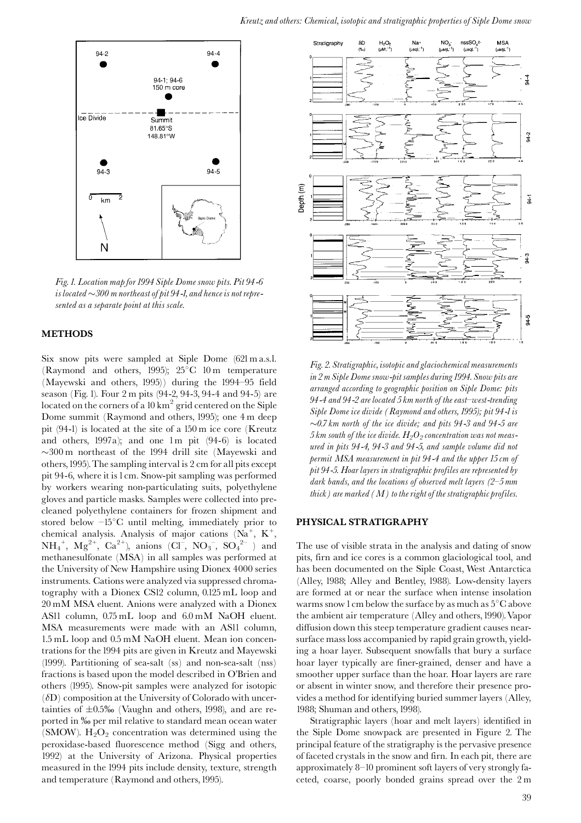

Fig. 1. Location map for 1994 Siple Dome snow pits. Pit 94-6 is located  $\sim$ 300 m northeast of pit 94-1, and hence is not represented as a separate point at this scale.

#### **METHODS**

Six snow pits were sampled at Siple Dome (621 m a.s.l. (Raymond and others, 1995);  $25^{\circ}$ C 10 m temperature (Mayewski and others, 1995)) during the 1994–95 field season (Fig. 1). Four 2 m pits (94-2, 94-3, 94-4 and 94-5) are located on the corners of a  $10 \text{ km}^2$  grid centered on the Siple Dome summit (Raymond and others, 1995); one 4 m deep pit (94-1) is located at the site of a 150 m ice core (Kreutz and others, 1997a); and one 1m pit (94-6) is located  $\sim$ 300 m northeast of the 1994 drill site (Mayewski and others, 1995). The sampling interval is 2 cm for all pits except pit 94-6, where it is 1 cm. Snow-pit sampling was performed by workers wearing non-particulating suits, polyethylene gloves and particle masks. Samples were collected into precleaned polyethylene containers for frozen shipment and stored below  $-15^{\circ}$ C until melting, immediately prior to chemical analysis. Analysis of major cations  $(Na^+, K^+,$  $NH_4^+$ ,  $Mg^{2+}$ ,  $Ca^{2+}$ ), anions (Cl ,  $NO_3^-$ ,  $SO_4^{2-}$  ) and methanesulfonate (MSA) in all samples was performed at the University of New Hampshire using Dionex 4000 series instruments. Cations were analyzed via suppressed chromatography with a Dionex CS12 column, 0.125 mL loop and 20 mM MSA eluent. Anions were analyzed with a Dionex ASI1 column, 0.75 mL loop and 6.0 mM NaOH eluent. MSA measurements were made with an ASII column, 1.5 mL loop and 0.5 mM NaOH eluent. Mean ion concentrations for the 1994 pits are given in Kreutz and Mayewski (1999). Partitioning of sea-salt (ss) and non-sea-salt (nss) fractions is based upon the model described in O'Brien and others (1995). Snow-pit samples were analyzed for isotopic  $(\delta D)$  composition at the University of Colorado with uncertainties of  $\pm 0.5\%$  (Vaughn and others, 1998), and are reported in ‰ per mil relative to standard mean ocean water (SMOW).  $H_2O_2$  concentration was determined using the peroxidase-based fluorescence method (Sigg and others, 1992) at the University of Arizona. Physical properties measured in the 1994 pits include density, texture, strength and temperature (Raymond and others, 1995).



Fig. 2. Stratigraphic, isotopic and glaciochemical measurements in 2 m Siple Dome snow-pit samples during 1994. Snow pits are arranged according to geographic position on Siple Dome: pits 94-4 and 94-2 are located 5 km north of the east–west-trending Siple Dome ice divide (Raymond and others, 1995); pit 94-1 is  $\sim 0.7$  km north of the ice divide; and pits 94-3 and 94-5 are 5 km south of the ice divide.  $H_2O_2$  concentration was not measured in pits 94-4, 94-3 and 94-5, and sample volume did not permit MSA measurement in pit 94-4 and the upper 15 cm of pit 94-5. Hoar layers in stratigraphic profiles are represented by dark bands, and the locations of observed melt layers  $(2-5)$  mm thick) are marked  $(M)$  to the right of the stratigraphic profiles.

#### PHYSICAL STRATIGRAPHY

The use of visible strata in the analysis and dating of snow pits, firn and ice cores is a common glaciological tool, and has been documented on the Siple Coast, West Antarctica (Alley, 1988; Alley and Bentley, 1988). Low-density layers are formed at or near the surface when intense insolation warms snow 1 cm below the surface by as much as  $5^{\circ}$ C above the ambient air temperature (Alley and others, 1990). Vapor diffusion down this steep temperature gradient causes nearsurface mass loss accompanied by rapid grain growth, yielding a hoar layer. Subsequent snowfalls that bury a surface hoar layer typically are finer-grained, denser and have a smoother upper surface than the hoar. Hoar layers are rare or absent in winter snow, and therefore their presence provides a method for identifying buried summer layers (Alley, 1988; Shuman and others, 1998).

Stratigraphic layers (hoar and melt layers) identified in the Siple Dome snowpack are presented in Figure 2. The principal feature of the stratigraphy is the pervasive presence of faceted crystals in the snow and firn. In each pit, there are approximately 8-10 prominent soft layers of very strongly faceted, coarse, poorly bonded grains spread over the 2 m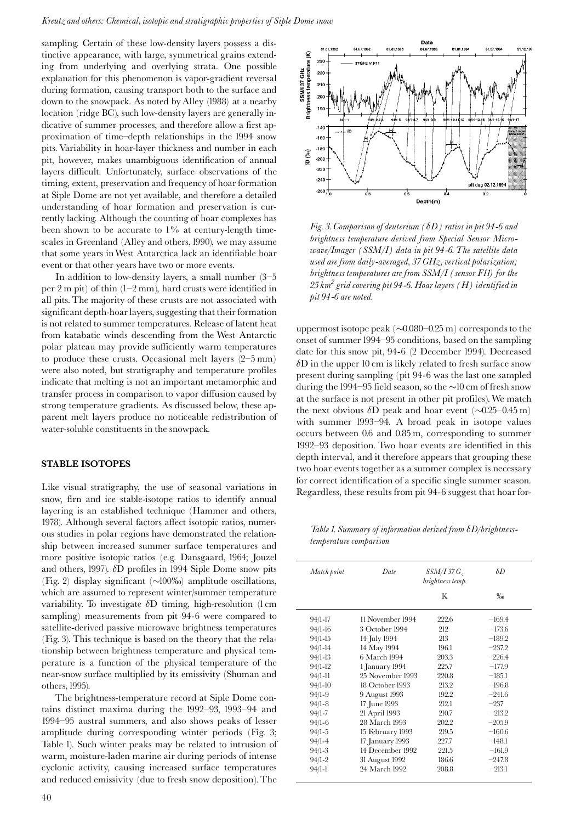sampling. Certain of these low-density layers possess a distinctive appearance, with large, symmetrical grains extending from underlying and overlying strata. One possible explanation for this phenomenon is vapor-gradient reversal during formation, causing transport both to the surface and down to the snowpack. As noted by Alley (1988) at a nearby location (ridge BC), such low-density layers are generally indicative of summer processes, and therefore allow a first approximation of time-depth relationships in the 1994 snow pits. Variability in hoar-layer thickness and number in each pit, however, makes unambiguous identification of annual layers difficult. Unfortunately, surface observations of the timing, extent, preservation and frequency of hoar formation at Siple Dome are not yet available, and therefore a detailed understanding of hoar formation and preservation is currently lacking. Although the counting of hoar complexes has been shown to be accurate to 1% at century-length timescales in Greenland (Alley and others, 1990), we may assume that some years in West Antarctica lack an identifiable hoar event or that other years have two or more events.

In addition to low-density layers, a small number  $(3-5)$ per  $2 \text{ m}$  pit) of thin  $(1-2 \text{ mm})$ , hard crusts were identified in all pits. The majority of these crusts are not associated with significant depth-hoar layers, suggesting that their formation is not related to summer temperatures. Release of latent heat from katabatic winds descending from the West Antarctic polar plateau may provide sufficiently warm temperatures to produce these crusts. Occasional melt layers (2-5 mm) were also noted, but stratigraphy and temperature profiles indicate that melting is not an important metamorphic and transfer process in comparison to vapor diffusion caused by strong temperature gradients. As discussed below, these apparent melt layers produce no noticeable redistribution of water-soluble constituents in the snowpack.

#### **STABLE ISOTOPES**

Like visual stratigraphy, the use of seasonal variations in snow, firn and ice stable-isotope ratios to identify annual layering is an established technique (Hammer and others, 1978). Although several factors affect isotopic ratios, numerous studies in polar regions have demonstrated the relationship between increased summer surface temperatures and more positive isotopic ratios (e.g. Dansgaard, 1964; Jouzel and others, 1997).  $\delta D$  profiles in 1994 Siple Dome snow pits (Fig. 2) display significant  $(\sim]100\%$ ) amplitude oscillations, which are assumed to represent winter/summer temperature variability. To investigate  $\delta D$  timing, high-resolution (1 cm sampling) measurements from pit 94-6 were compared to satellite-derived passive microwave brightness temperatures (Fig. 3). This technique is based on the theory that the relationship between brightness temperature and physical temperature is a function of the physical temperature of the near-snow surface multiplied by its emissivity (Shuman and others, 1995).

The brightness-temperature record at Siple Dome contains distinct maxima during the 1992-93, 1993-94 and 1994–95 austral summers, and also shows peaks of lesser amplitude during corresponding winter periods (Fig. 3; Table 1). Such winter peaks may be related to intrusion of warm, moisture-laden marine air during periods of intense cyclonic activity, causing increased surface temperatures and reduced emissivity (due to fresh snow deposition). The



Fig. 3. Comparison of deuterium ( $\delta D$ ) ratios in pit 94-6 and brightness temperature derived from Special Sensor Micro $wave/Image$  (SSM/I) data in pit 94-6. The satellite data used are from daily-averaged, 37 GHz, vertical polarization; brightness temperatures are from SSM/I (sensor F11) for the  $25\,km^2$  grid covering pit 94-6. Hoar layers (H) identified in  $\emph{pit}$ 94-6 are noted.

uppermost isotope peak  $(\sim 0.080 - 0.25 \text{ m})$  corresponds to the onset of summer 1994–95 conditions, based on the sampling date for this snow pit, 94-6 (2 December 1994). Decreased  $\delta$ D in the upper 10 cm is likely related to fresh surface snow present during sampling (pit 94-6 was the last one sampled during the 1994–95 field season, so the  $\sim$ 10 cm of fresh snow at the surface is not present in other pit profiles). We match the next obvious  $\delta D$  peak and hoar event ( $\sim 0.25 - 0.45$  m) with summer 1993-94. A broad peak in isotope values occurs between 0.6 and 0.85 m, corresponding to summer 1992-93 deposition. Two hoar events are identified in this depth interval, and it therefore appears that grouping these two hoar events together as a summer complex is necessary for correct identification of a specific single summer season. Regardless, these results from pit 94-6 suggest that hoar for-

Table 1. Summary of information derived from  $\delta D/b$ rightnesstemperature comparison

| Match point | Date             | <i>SSM/I 37 G<sub>2</sub></i><br>brightness temp.<br>K | $\delta D$<br>$\%$ <sub>0</sub> |
|-------------|------------------|--------------------------------------------------------|---------------------------------|
|             |                  |                                                        |                                 |
| $94/1 - 16$ | 3 October 1994   | 212                                                    | $-173.6$                        |
| $94/1 - 15$ | 14 July 1994     | 213                                                    | $-189.2$                        |
| 94/1-14     | 14 May 1994      | 196.1                                                  | $-237.2$                        |
| $94/1-13$   | 6 March 1994     | 203.3                                                  | $-226.4$                        |
| $94/1 - 12$ | 1 January 1994   | 225.7                                                  | $-177.9$                        |
| $94/1 - 11$ | 25 November 1993 | 220.8                                                  | $-185.1$                        |
| $94/1 - 10$ | 18 October 1993  | 213.2                                                  | $-196.8$                        |
| $94/1 - 9$  | 9 August 1993    | 192.2                                                  | $-241.6$                        |
| $94/1 - 8$  | 17 June 1993     | 212.1                                                  | $-237$                          |
| $94/1 - 7$  | 21 April 1993    | 210.7                                                  | $-213.2$                        |
| $94/1-6$    | 28 March 1993    | 202.2                                                  | $-205.9$                        |
| $94/1 - 5$  | 15 February 1993 | 219.5                                                  | $-160.6$                        |
| $94/1 - 4$  | 17 January 1993  | 227.7                                                  | $-148.1$                        |
| $94/1-3$    | 14 December 1992 | 221.5                                                  | $-161.9$                        |
| $94/1 - 2$  | 31 August 1992   | 186.6                                                  | $-247.8$                        |
| $94/1 - 1$  | 24 March 1992    | 208.8                                                  | $-213.1$                        |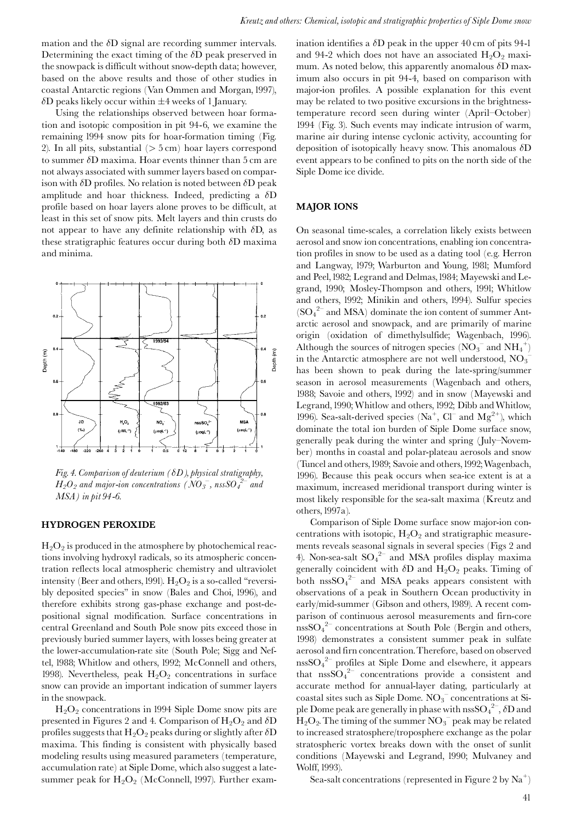mation and the  $\delta D$  signal are recording summer intervals. Determining the exact timing of the  $\delta$ D peak preserved in the snowpack is difficult without snow-depth data; however, based on the above results and those of other studies in coastal Antarctic regions (Van Ommen and Morgan, 1997),  $\delta$ D peaks likely occur within  $\pm$ 4 weeks of 1 January.

Using the relationships observed between hoar formation and isotopic composition in pit 94-6, we examine the remaining 1994 snow pits for hoar-formation timing (Fig. 2). In all pits, substantial  $($  > 5 cm) hoar layers correspond to summer  $\delta$ D maxima. Hoar events thinner than 5 cm are not always associated with summer layers based on comparison with  $\delta D$  profiles. No relation is noted between  $\delta D$  peak amplitude and hoar thickness. Indeed, predicting a  $\delta D$ profile based on hoar layers alone proves to be difficult, at least in this set of snow pits. Melt layers and thin crusts do not appear to have any definite relationship with  $\delta D$ , as these stratigraphic features occur during both  $\delta$ D maxima and minima.



Fig. 4. Comparison of deuterium ( $\delta D$ ), physical stratigraphy,  $H_2O_2$  and major-ion concentrations (NO<sub>3</sub>, nssSO<sub>4</sub><sup>2-</sup> and MSA) in pit 94-6.

#### **HYDROGEN PEROXIDE**

 $H_2O_2$  is produced in the atmosphere by photochemical reactions involving hydroxyl radicals, so its atmospheric concentration reflects local atmospheric chemistry and ultraviolet intensity (Beer and others, 1991).  $H_2O_2$  is a so-called "reversibly deposited species" in snow (Bales and Choi, 1996), and therefore exhibits strong gas-phase exchange and post-depositional signal modification. Surface concentrations in central Greenland and South Pole snow pits exceed those in previously buried summer layers, with losses being greater at the lower-accumulation-rate site (South Pole; Sigg and Neftel, 1988; Whitlow and others, 1992; McConnell and others, 1998). Nevertheless, peak  $H_2O_2$  concentrations in surface snow can provide an important indication of summer layers in the snowpack.

 $H_2O_2$  concentrations in 1994 Siple Dome snow pits are presented in Figures 2 and 4. Comparison of  $H_2O_2$  and  $\delta D$ profiles suggests that  $H_2O_2$  peaks during or slightly after  $\delta D$ maxima. This finding is consistent with physically based modeling results using measured parameters (temperature, accumulation rate) at Siple Dome, which also suggest a latesummer peak for  $H_2O_2$  (McConnell, 1997). Further exam-

ination identifies a  $\delta D$  peak in the upper 40 cm of pits 94-1 and 94-2 which does not have an associated  $H_2O_2$  maximum. As noted below, this apparently anomalous  $\delta$ D maximum also occurs in pit 94-4, based on comparison with major-ion profiles. A possible explanation for this event may be related to two positive excursions in the brightnesstemperature record seen during winter (April-October) 1994 (Fig. 3). Such events may indicate intrusion of warm, marine air during intense cyclonic activity, accounting for deposition of isotopically heavy snow. This anomalous  $\delta D$ event appears to be confined to pits on the north side of the Siple Dome ice divide.

#### **MAJOR IONS**

On seasonal time-scales, a correlation likely exists between aerosol and snow ion concentrations, enabling ion concentration profiles in snow to be used as a dating tool (e.g. Herron and Langway, 1979; Warburton and Young, 1981; Mumford and Peel, 1982; Legrand and Delmas, 1984; Mayewski and Legrand, 1990; Mosley-Thompson and others, 1991; Whitlow and others, 1992; Minikin and others, 1994). Sulfur species  $(SO<sub>4</sub><sup>2-</sup>$  and MSA) dominate the ion content of summer Antarctic aerosol and snowpack, and are primarily of marine origin (oxidation of dimethylsulfide; Wagenbach, 1996). Although the sources of nitrogen species  $(NO_3^-$  and  $NH_4^+)$ in the Antarctic atmosphere are not well understood,  $NO_3^$ has been shown to peak during the late-spring/summer season in aerosol measurements (Wagenbach and others, 1988; Savoie and others, 1992) and in snow (Mayewski and Legrand, 1990; Whitlow and others, 1992; Dibb and Whitlow, 1996). Sea-salt-derived species ( $Na^+$ ,  $Cl^-$  and  $Mg^{2+}$ ), which dominate the total ion burden of Siple Dome surface snow, generally peak during the winter and spring (July-November) months in coastal and polar-plateau aerosols and snow (Tuncel and others, 1989; Savoie and others, 1992; Wagenbach, 1996). Because this peak occurs when sea-ice extent is at a maximum, increased meridional transport during winter is most likely responsible for the sea-salt maxima (Kreutz and others, 1997a).

Comparison of Siple Dome surface snow major-ion concentrations with isotopic,  $H_2O_2$  and stratigraphic measurements reveals seasonal signals in several species (Figs 2 and 4). Non-sea-salt  $SO_4^2$  and MSA profiles display maxima generally coincident with  $\delta D$  and  $H_2O_2$  peaks. Timing of both  $nssSO_4^{2-}$  and MSA peaks appears consistent with observations of a peak in Southern Ocean productivity in early/mid-summer (Gibson and others, 1989). A recent comparison of continuous aerosol measurements and firn-core  $nssSO_4^2$  concentrations at South Pole (Bergin and others, 1998) demonstrates a consistent summer peak in sulfate aerosol and firn concentration. Therefore, based on observed  $n_{\rm S}$ SO<sub>4</sub><sup>2-</sup> profiles at Siple Dome and elsewhere, it appears that  $nss\overline{SO_4}^{2-}$  concentrations provide a consistent and accurate method for annual-layer dating, particularly at coastal sites such as Siple Dome. NO<sub>3</sub> concentrations at Siple Dome peak are generally in phase with  $\mathrm{nssSO_4}^{2-}$ ,  $\delta\mathrm{D}$  and  $H_2O_2$ . The timing of the summer  $NO_3^-$  peak may be related to increased stratosphere/troposphere exchange as the polar stratospheric vortex breaks down with the onset of sunlit conditions (Mayewski and Legrand, 1990; Mulvaney and Wolff, 1993).

Sea-salt concentrations (represented in Figure 2 by  $\text{Na}^+$ )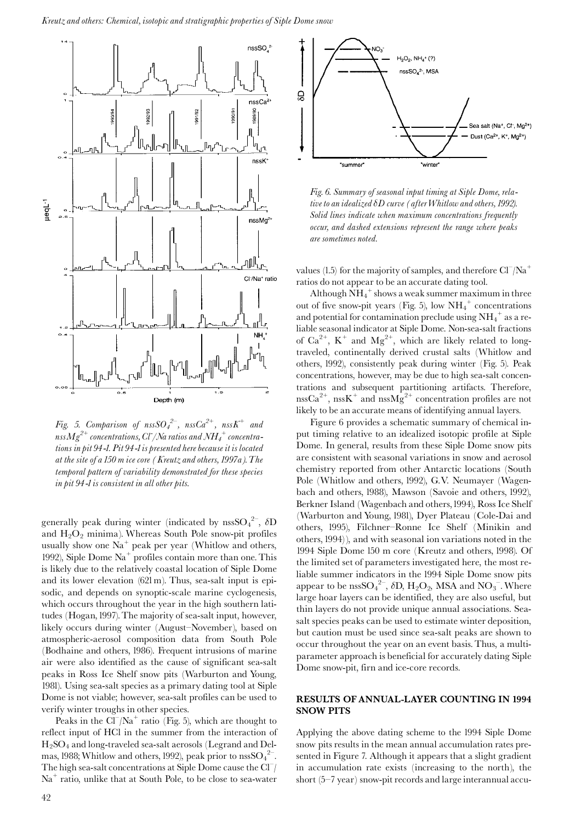

Fig. 5. Comparison of  $nssSO_4^{2-}$ ,  $nssCa^{2+}$ ,  $nssK^+$  and nss ${Mg}^{2+}$  concentrations, Cl /Na ratios and NH $_4^+$  concentrations in pit 94-1. Pit 94-1 is presented here because it is located at the site of a 150 m ice core (Kreutz and others, 1997a). The temporal pattern of variability demonstrated for these species in pit 94-1 is consistent in all other pits.

generally peak during winter (indicated by nss $SO_4^{2-}$ ,  $\delta D$ and  $H_2O_2$  minima). Whereas South Pole snow-pit profiles usually show one  $\text{Na}^+$  peak per year (Whitlow and others, 1992), Siple Dome  $\text{Na}^+$  profiles contain more than one. This is likely due to the relatively coastal location of Siple Dome and its lower elevation (621 m). Thus, sea-salt input is episodic, and depends on synoptic-scale marine cyclogenesis, which occurs throughout the year in the high southern latitudes (Hogan, 1997). The majority of sea-salt input, however, likely occurs during winter (August-November), based on atmospheric-aerosol composition data from South Pole (Bodhaine and others, 1986). Frequent intrusions of marine air were also identified as the cause of significant sea-salt peaks in Ross Ice Shelf snow pits (Warburton and Young, 1981). Using sea-salt species as a primary dating tool at Siple Dome is not viable; however, sea-salt profiles can be used to verify winter troughs in other species.

Peaks in the  $Cl^{-}/Na^{+}$  ratio (Fig. 5), which are thought to reflect input of HCl in the summer from the interaction of  $H_2SO_4$  and long-traveled sea-salt aerosols (Legrand and Delmas, 1988; Whitlow and others, 1992), peak prior to  $\text{nssSO}_4^2$ . The high sea-salt concentrations at Siple Dome cause the  $Cl^{-}/$  $Na<sup>+</sup>$  ratio, unlike that at South Pole, to be close to sea-water



Fig. 6. Summary of seasonal input timing at Siple Dome, relative to an idealized  $\delta D$  curve (after Whitlow and others, 1992). Solid lines indicate when maximum concentrations frequently occur, and dashed extensions represent the range where peaks are sometimes noted.

values (1.5) for the majority of samples, and therefore  $Cl^-/Na^+$ ratios do not appear to be an accurate dating tool.

Although  $NH_4^+$  shows a weak summer maximum in three out of five snow-pit years (Fig. 5), low  $NH_4^+$  concentrations and potential for contamination preclude using  $NH_4^+$  as a reliable seasonal indicator at Siple Dome. Non-sea-salt fractions of  $Ca^{2+}$ , K<sup>+</sup> and Mg<sup>2+</sup>, which are likely related to longtraveled, continentally derived crustal salts (Whitlow and others, 1992), consistently peak during winter (Fig. 5). Peak concentrations, however, may be due to high sea-salt concentrations and subsequent partitioning artifacts. Therefore,  $nssCa^{2+}$ ,  $nssK^{+}$  and  $nssMg^{2+}$  concentration profiles are not likely to be an accurate means of identifying annual layers.

Figure 6 provides a schematic summary of chemical input timing relative to an idealized isotopic profile at Siple Dome. In general, results from these Siple Dome snow pits are consistent with seasonal variations in snow and aerosol chemistry reported from other Antarctic locations (South Pole (Whitlow and others, 1992), G.V. Neumayer (Wagenbach and others, 1988), Mawson (Savoie and others, 1992), Berkner Island (Wagenbach and others, 1994), Ross Ice Shelf (Warburton and Young, 1981), Dyer Plateau (Cole-Dai and others, 1995), Filchner-Ronne Ice Shelf (Minikin and others, 1994)), and with seasonal ion variations noted in the 1994 Siple Dome 150 m core (Kreutz and others, 1998). Of the limited set of parameters investigated here, the most reliable summer indicators in the 1994 Siple Dome snow pits appear to be nssSO<sub>4</sub><sup>2-</sup>,  $\delta$ D, H<sub>2</sub>O<sub>2</sub>, MSA and NO<sub>3</sub><sup>-</sup>. Where large hoar layers can be identified, they are also useful, but thin layers do not provide unique annual associations. Seasalt species peaks can be used to estimate winter deposition, but caution must be used since sea-salt peaks are shown to occur throughout the year on an event basis. Thus, a multiparameter approach is beneficial for accurately dating Siple Dome snow-pit, firn and ice-core records.

#### **RESULTS OF ANNUAL-LAYER COUNTING IN 1994 SNOW PITS**

Applying the above dating scheme to the 1994 Siple Dome snow pits results in the mean annual accumulation rates presented in Figure 7. Although it appears that a slight gradient in accumulation rate exists (increasing to the north), the short (5-7 year) snow-pit records and large interannual accu-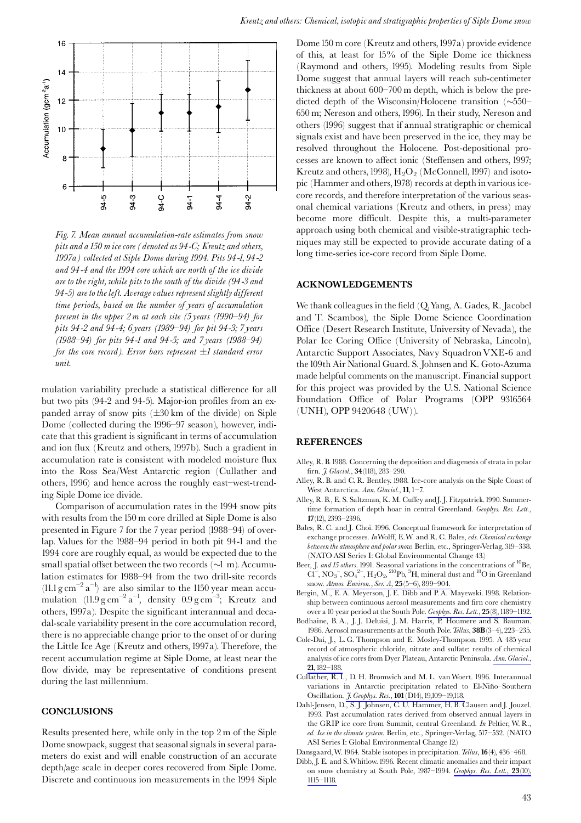

Fig. 7. Mean annual accumulation-rate estimates from snow pits and a 150 m ice core (denoted as 94-C; Kreutz and others, 1997a) collected at Siple Dome during 1994. Pits 94-1, 94-2 and 94-4 and the 1994 core which are north of the ice divide are to the right, while pits to the south of the divide (94-3 and 94-5) are to the left. Average values represent slightly different time periods, based on the number of years of accumulation present in the upper 2 m at each site  $(5 \text{ years } (1990-94)$  for pits 94-2 and 94-4; 6 years (1989-94) for pit 94-3; 7 years (1988–94) for pits 94-1 and 94-5; and 7 years (1988–94) for the core record). Error bars represent  $\pm 1$  standard error unit.

mulation variability preclude a statistical difference for all but two pits (94-2 and 94-5). Major-ion profiles from an expanded array of snow pits  $(\pm 30 \text{ km of the divide})$  on Siple Dome (collected during the 1996-97 season), however, indicate that this gradient is significant in terms of accumulation and ion flux (Kreutz and others, 1997b). Such a gradient in accumulation rate is consistent with modeled moisture flux into the Ross Sea/West Antarctic region (Cullather and others, 1996) and hence across the roughly east-west-trending Siple Dome ice divide.

Comparison of accumulation rates in the 1994 snow pits with results from the 150 m core drilled at Siple Dome is also presented in Figure 7 for the 7 year period (1988–94) of overlap. Values for the 1988-94 period in both pit 94-1 and the 1994 core are roughly equal, as would be expected due to the small spatial offset between the two records  $(\sim l \, \text{m})$ . Accumulation estimates for 1988-94 from the two drill-site records (11.1  $\text{g cm}^{-2} \text{ a}^{-1}$ ) are also similar to the 1150 year mean accumulation  $(11.9 \text{ g cm}^{-2} \text{ a}^{-1})$ , density  $0.9 \text{ g cm}^{-3}$ ; Kreutz and others, 1997a). Despite the significant interannual and decadal-scale variability present in the core accumulation record, there is no appreciable change prior to the onset of or during the Little Ice Age (Kreutz and others, 1997a). Therefore, the recent accumulation regime at Siple Dome, at least near the flow divide, may be representative of conditions present during the last millennium.

#### **CONCLUSIONS**

Results presented here, while only in the top 2 m of the Siple Dome snowpack, suggest that seasonal signals in several parameters do exist and will enable construction of an accurate depth/age scale in deeper cores recovered from Siple Dome. Discrete and continuous ion measurements in the 1994 Siple

Dome 150 m core (Kreutz and others, 1997a) provide evidence of this, at least for 15% of the Siple Dome ice thickness (Raymond and others, 1995). Modeling results from Siple Dome suggest that annual layers will reach sub-centimeter thickness at about 600–700 m depth, which is below the predicted depth of the Wisconsin/Holocene transition  $(\sim 550-$ 650 m; Nereson and others, 1996). In their study, Nereson and others (1996) suggest that if annual stratigraphic or chemical signals exist and have been preserved in the ice, they may be resolved throughout the Holocene. Post-depositional processes are known to affect ionic (Steffensen and others, 1997; Kreutz and others, 1998),  $H_2O_2$  (McConnell, 1997) and isotopic (Hammer and others, 1978) records at depth in various icecore records, and therefore interpretation of the various seasonal chemical variations (Kreutz and others, in press) may become more difficult. Despite this, a multi-parameter approach using both chemical and visible-stratigraphic techniques may still be expected to provide accurate dating of a long time-series ice-core record from Siple Dome.

#### **ACKNOWLEDGEMENTS**

We thank colleagues in the field (Q. Yang, A. Gades, R. Jacobel and T. Scambos), the Siple Dome Science Coordination Office (Desert Research Institute, University of Nevada), the Polar Ice Coring Office (University of Nebraska, Lincoln), Antarctic Support Associates, Navy Squadron VXE-6 and the 109th Air National Guard. S. Johnsen and K. Goto-Azuma made helpful comments on the manuscript. Financial support for this project was provided by the U.S. National Science Foundation Office of Polar Programs (OPP 9316564 (UNH), OPP 9420648 (UW)).

#### **REFERENCES**

- Alley, R. B. 1988. Concerning the deposition and diagenesis of strata in polar firn. *J. Glaciol.*, 34(118), 283-290.
- Alley, R. B. and C. R. Bentley. 1988. Ice-core analysis on the Siple Coast of West Antarctica. Ann. Glaciol., 11, 1-7.
- Alley, R. B., E. S. Saltzman, K. M. Cuffey and J. J. Fitzpatrick. 1990. Summertime formation of depth hoar in central Greenland. Geophys. Res. Lett., 17(12), 2393-2396.
- Bales, R. C. and J. Choi. 1996. Conceptual framework for interpretation of exchange processes. In Wolff, E.W. and R. C. Bales, eds. Chemical exchange between the atmosphere and polar snow. Berlin, etc., Springer-Verlag, 319-338. (NATO ASI Series I: Global Environmental Change 43.)
- Beer, J. and 15 others. 1991. Seasonal variations in the concentrations of <sup>10</sup>Be, Cl<sup>-</sup>, NO<sub>3</sub><sup>-</sup>, SO<sub>4</sub><sup>2-</sup>, H<sub>2</sub>O<sub>2</sub><sup>-210</sup>Pb,<sup>3</sup>H, mineral dust and <sup>18</sup>O in Greenland snow. Atmos. Environ., Ser. A, 25(5-6), 899-904.
- Bergin, M., E. A. Meyerson, J. E. Dibb and P. A. Mayewski. 1998. Relationship between continuous aerosol measurements and firn core chemistry over a 10 year period at the South Pole. Geophys. Res. Lett., 25(8), 1189-1192.
- Bodhaine, B.A., J.J. Deluisi, J.M. Harris, P. Houmere and S. Bauman. 1986. Aerosol measurements at the South Pole. Tellus, 38B(3-4), 223–235.
- Cole-Dai, J., L. G. Thompson and E. Mosley-Thompson. 1995. A 485 year record of atmospheric chloride, nitrate and sulfate: results of chemical analysis of ice cores from Dyer Plateau, Antarctic Peninsula. Ann. Glaciol., 21.182-188.
- Cullather, R. I., D. H. Bromwich and M. L. van Woert. 1996. Interannual variations in Antarctic precipitation related to El-Niño-Southern Oscillation. *J. Geophys. Res.*, 101 (D14), 19,109-19,118.
- Dahl-Jensen, D., S. J. Johnsen, C. U. Hammer, H. B. Clausen and J. Jouzel. 1993. Past accumulation rates derived from observed annual layers in the GRIP ice core from Summit, central Greenland. In Peltier, W.R., ed. Ice in the climate system. Berlin, etc., Springer-Verlag, 517-532. (NATO ASI Series I: Global Environmental Change 12.)
- Dansgaard, W. 1964. Stable isotopes in precipitation. Tellus, 16(4), 436-468.
- Dibb, J. E. and S. Whitlow. 1996. Recent climatic anomalies and their impact on snow chemistry at South Pole, 1987-1994. Geophys. Res. Lett., 23(10),  $1115 - 1118.$